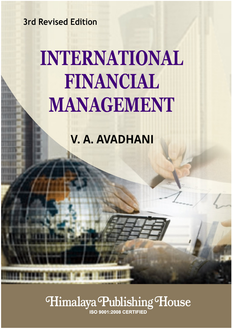**3rd Revised Edition** 

# **INTERNATIONAL** FINANCIAL **MANAGEMENT**

**V. A. AVADHANI** 

# Himalaya Publishing House

**ISO 9001:2008 CERTIFIED**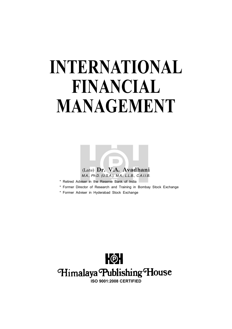# **INTERNATIONAL FINANCIAL MANAGEMENT**



- \* Retired Adviser in the Reserve Bank of India
- \* Former Director of Research and Training in Bombay Stock Exchange
- \* Former Adviser in Hyderabad Stock Exchange



**ISO 9001:2008 CERTIFIED**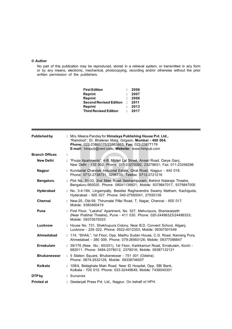#### **© Author**

No part of this publication may be reproduced, stored in a retrieval system, or transmitted in any form or by any means, electronic, mechanical, photocopying, recording and/or otherwise without the prior written permission of the publishers.

| <b>First Edition</b>         |            | 2006 |
|------------------------------|------------|------|
| Reprint                      |            | 2007 |
| Reprint                      |            | 2008 |
| Second Revised Edition       | $\sim 100$ | 2011 |
| Reprint                      |            | 2013 |
| <b>Third Revised Edition</b> |            | 2017 |
|                              |            |      |

| Published by          | : Mrs. Meena Pandey for Himalaya Publishing House Pvt. Ltd.,<br>"Ramdoot", Dr. Bhalerao Marg, Girgaon, Mumbai - 400 004.<br>Phone: 022-23860170/23863863; Fax: 022-23877178<br>E-mail: himpub@vsnl.com; Website: www.himpub.com |
|-----------------------|---------------------------------------------------------------------------------------------------------------------------------------------------------------------------------------------------------------------------------|
| <b>Branch Offices</b> |                                                                                                                                                                                                                                 |
| <b>New Delhi</b>      | : "Pooja Apartments", 4-B, Murari Lal Street, Ansari Road, Darya Ganj,<br>New Delhi - 110 002. Phone: 011-23270392, 23278631; Fax: 011-23256286                                                                                 |
| <b>Nagpur</b>         | : Kundanlal Chandak Industrial Estate, Ghat Road, Nagpur - 440 018.<br>Phone: 0712-2738731, 3296733; Telefax: 0712-2721216                                                                                                      |
| <b>Bengaluru</b>      | : Plot No. 91-33, 2nd Main Road Seshadripuram, Behind Nataraja Theatre,<br>Bengaluru-560020. Phone: 08041138821; Mobile: 9379847017, 9379847005                                                                                 |
| Hyderabad             | : No. 3-4-184, Lingampally, Besides Raghavendra Swamy Matham, Kachiguda,<br>Hyderabad - 500 027. Phone: 040-27560041, 27550139                                                                                                  |
| Chennai               | : New-20, Old-59, Thirumalai Pillai Road, T. Nagar, Chennai - 600 017.<br>Mobile: 9380460419                                                                                                                                    |
| <b>Pune</b>           | : First Floor, "Laksha" Apartment, No. 527, Mehunpura, Shaniwarpeth<br>(Near Prabhat Theatre), Pune - 411 030. Phone: 020-24496323/24496333;<br>Mobile: 09370579333                                                             |
| Lucknow               | : House No. 731, Shekhupura Colony, Near B.D. Convent School, Aliganj,<br>Lucknow - 226 022. Phone: 0522-4012353: Mobile: 09307501549                                                                                           |
| Ahmedabad             | : 114, "SHAIL", 1st Floor, Opp. Madhu Sudan House, C.G. Road, Navrang Pura,<br>Ahmedabad - 380 009. Phone: 079-26560126; Mobile: 09377088847                                                                                    |
| Ernakulam             | : 39/176 (New No.: 60/251), 1st Floor, Karikkamuri Road, Ernakulam, Kochi -<br>682011. Phone: 0484-2378012, 2378016; Mobile: 09387122121                                                                                        |
| <b>Bhubaneswar</b>    | : 5 Station Square, Bhubaneswar - 751 001 (Odisha).<br>Phone: 0674-2532129, Mobile: 09338746007                                                                                                                                 |
| Kolkata               | : 108/4, Beliaghata Main Road, Near ID Hospital, Opp. SBI Bank,<br>Kolkata - 700 010. Phone: 033-32449649, Mobile: 7439040301                                                                                                   |
| <b>DTPby</b>          | : Sunanda                                                                                                                                                                                                                       |
| <b>Printed at</b>     | : Geetanjali Press Pvt. Ltd., Nagpur. On behalf of HPH.                                                                                                                                                                         |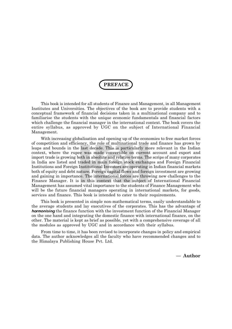**PREFACE**

This book is intended for all students of Finance and Management, in all Management Institutes and Universities. The objectives of the book are to provide students with a conceptual framework of financial decisions taken in a multinational company and to familiarise the students with the unique economic fundamentals and financial factors which challenge the financial manager in the international context. The book covers the entire syllabus, as approved by UGC on the subject of International Financial Management.

With increasing globalisation and opening up of the economies to free market forces of competition and efficiency, the role of multinational trade and finance has grown by leaps and bounds in the last decade. This is particularly more relevant in the Indian context, where the rupee was made convertible on current account and export and import trade is growing both in absolute and relative terms. The scrips of many corporates in India are listed and traded in main foreign stock exchanges and Foreign Financial Institutions and Foreign Institutional Investors are operating in Indian financial markets both of equity and debt nature. Foreign capital flows and foreign investment are growing and gaining in importance. The international forces are throwing new challenges to the Finance Manager. It is in this context that the subject of International Financial Management has assumed vital importance to the students of Finance Management who will be the future financial managers operating in international markets, for goods, services and finance. This book is intended to cater to their requirements.

This book is presented in simple non-mathematical terms, easily understandable to the average students and lay executives of the corporates. This has the advantage of *harmonising* the finance function with the investment function of the Financial Manager on the one hand and integrating the domestic finance with international finance, on the other. The material is kept as brief as possible, yet with a comprehensive coverage of all the modules as approved by UGC and in accordance with their syllabus.

From time to time, it has been revised to incorporate changes in policy and empirical data. The author acknowledges all the faculty who have recommended changes and to the Himalaya Publishing House Pvt. Ltd.

**— Author**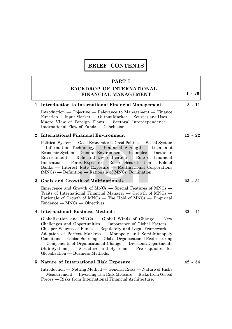# **BRIEF CONTENTS**

#### **PART I**

### **BACKDROP OF INTERNATIONAL FINANCIAL MANAGEMENT**

# **1. Introduction to International Financial Management 3 - 11**

Introduction — Objective — Relevance to Management — Finance Function — Input Market — Output Market — Sources and Uses — Macro View of Foreign Flows — Sectoral Interdependence — International Flow of Funds — Conclusion.

#### **2. International Financial Environment 12 - 22**

Political System — Good Economics is Good Politics — Social System —Information Technology — Financial Strength — Legal and Economic System — General Environment — Examples — Factors in Environment — Role and Diversification — Role of Financial Innovations — Forex Exposure — Role of Securitisation — Role of Banks — Interest Rate Exposure — Multinational Corporations (MNCs) — Definition — Rationale of MNCs' Domination.

#### **3. Goals and Growth of Multinationals 23 - 31**

Emergence and Growth of MNCs — Special Features of MNCs — Traits of International Financial Manager — Growth of MNCs — Rationale of Growth of MNCs — The Hold of MNCs — Empirical Evidence — MNCs — Objectives.

#### **4. International Business Methods 32 - 41**

Globalisation and MNCs — Global Winds of Change — New Challenges and Opportunities — Importance of Global Factors — Cheaper Sources of Funds — Regulatory and Legal Framework — Adoption of Perfect Markets — Monopoly and Semi-Monopoly Conditions — Global Sourcing — Global Organisational Restructuring — Components of Organisational Change — Divisions/Departments (Sub-Systems) — Structure and Systems — Pre-requisites for Globalisation — Business Methods.

#### **5. Nature of International Risk Exposure 42 - 54**

Introduction — Netting Method — General Risks — Nature of Risks — Measurement — Invoicing as a Risk Measure — Risks from Global Forces — Risks from International Financial Architecture.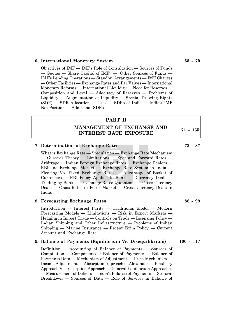#### **6. International Monetary System 55 - 70**

Objectives of IMF — IMF's Role of Consultation — Sources of Funds — Quotas — Share Capital of IMF — Other Sources of Funds — IMF's Lending Operations — Standby Arrangements — IMF Charges — Other Facilities — Exchange Rates and Par Values — International Monetary Reforms — International Liquidity — Need for Reserves — Composition and Level — Adequacy of Reserves — Problems of  $Liquidity - Augmentation of Liquidity - Special Drawing Rights$ (SDR) — SDR Allocation — Uses — SDRs of India — India's IMF Net Position — Additional SDRs.

### **PART II**

**MANAGEMENT OF EXCHANGE AND INTEREST RATE EXPOSURE**

#### **7. Determination of Exchange Rates 73 - 87**

What is Exchange Rate — Speculation — Exchange Rate Mechanism — Gustav's Theory — Limitations — Spot and Forward Rates — Arbitrage — Indian Foreign Exchange Rates — Exchange Dealers — RBI and Exchange Market — Exchange Rate System in India — Floating Vs. Fixed Exchange Rates — Advantage of Basket of Currencies — RBI Policy Applied to Banks — Currency Deals — Trading by Banks — Exchange Rates Quotations — Cross Currency Deals — Cross Rates in Forex Market — Cross Currency Deals in India.

#### **8. Forecasting Exchange Rates 88 - 99**

Introduction — Interest Parity — Traditional Model — Modern Forecasting Models — Limitations — Risk in Export Markets — Hedging in Import Trade — Controls on Trade — Licensing Policy — Indian Shipping and Other Infrastructure — Problems of Indian Shipping — Marine Insurance — Recent Exim Policy — Current Account and Exchange Rate.

#### **9. Balance of Payments (Equilibrium Vs. Disequilibrium) 100 - 117**

Definition — Accounting of Balance of Payments — Sources of Compilation — Components of Balance of Payments — Balance of Payments Data — Mechanism of Adjustment — Price Mechanism — Income Adjustment — Absorption Approach of Alexander — Elasticity Approach Vs. Absorption Approach — General Equilibrium Approaches — Measurement of Deficits — India's Balance of Payments — Sectoral Breakdown — Sources of Data — Role of Services in Balance of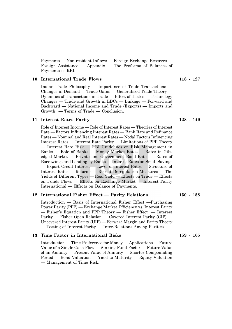Payments — Non-resident Inflows — Foreign Exchange Reserves — Foreign Assistance — Appendix — The Proforma of Balances of Payments of RBI.

#### **10. International Trade Flows 118 - 127**

Indian Trade Philosophy — Importance of Trade Transactions — Changes in Demand — Trade Gains — Generalised Trade Theory — Dynamics of Transactions in Trade — Effect of Tastes — Technology Changes — Trade and Growth in LDCs — Linkage — Forward and Backward — National Income and Trade (Exports) — Imports and Growth — Terms of Trade — Conclusion.

#### **11. Interest Rates Parity 128 - 149**

Role of Interest Income — Role of Interest Rates — Theories of Interest Rate — Factors Influencing Interest Rates — Bank Rate and Refinance Rates — Nominal and Real Interest Rates — Nodal Factors Influencing Interest Rates — Interest Rate Parity — Limitations of PPP Theory — Interest Rate Risk — RBI Guidelines on Risk Management in Banks — Role of Banks — Money Market Rates — Rates in Giltedged Market — Private and Government Bond Rates — Rates of Borrowings and Lending by Banks — Interest Rates on Small Savings — Export Credit Interest — Level of Interest Rates — Structure of Interest Rates — Reforms — Recent Deregulation Measures — The Yields of Different Types — Real Yield — Effects on Trade — Effects on Funds Flows — Effects on Exchange Market — Interest Parity International — Effects on Balance of Payments.

#### **12. International Fisher Effect — Parity Relations 150 - 158**

Introduction — Basis of International Fisher Effect —Purchasing Power Parity (PPP) — Exchange Market Efficiency vs. Interest Parity — Fisher's Equation and PPP Theory — Fisher Effect — Interest Parity — Fisher Open Relation — Covered Interest Parity (CIP) — Uncovered Interest Parity (UIP) — Forward Margin and Parity Theory — Testing of Interest Parity — Inter-Relations Among Parities.

#### **13. Time Factor in International Risks 159 - 165**

Introduction — Time Preference for Money — Applications — Future Value of a Single Cash Flow — Sinking Fund Factor — Future Value of an Annuity — Present Value of Annuity — Shorter Compounding Period — Bond Valuation — Yield to Maturity — Equity Valuation — Management of Time Risk.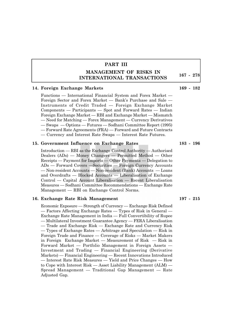## **PART III**

## **MANAGEMENT OF RISKS IN INTERNATIONAL TRANSACTIONS**

#### **14. Foreign Exchange Markets 169 - 182**

Functions — International Financial System and Forex Market — Foreign Sector and Forex Market — Bank's Purchase and Sale — Instruments of Credit Traded — Foreign Exchange Market Components — Participants — Spot and Forward Rates — Indian Foreign Exchange Market — RBI and Exchange Market — Mismatch — Need for Matching — Forex Management — Currency Derivatives — Swaps — Options — Futures — Sodhani Committee Report (1995) — Forward Rate Agreements (FRA) — Forward and Future Contracts — Currency and Interest Rate Swaps — Interest Rate Futures.

#### **15. Government Influence on Exchange Rates 183 - 196**

Introduction — RBI as the Exchange Control Authority — Authorised Dealers (ADs) — Money Changers — Permitted Method — Other Receipts — Payment for Imports — Other Payments — Delegation to ADs — Forward Covers —Securities — Foreign Currency Accounts — Non-resident Accounts — Non-resident (Bank) Accounts — Loans and Overdrafts — Blocked Accounts — Liberalisation of Exchange Control — Capital Account Liberalisation — Recent Liberalisation Measures — Sodhani Committee Recommendations — Exchange Rate Management — RBI on Exchange Control Norms.

#### **16. Exchange Rate Risk Management 197 - 215**

Economic Exposure — Strength of Currency — Exchange Risk Defined — Factors Affecting Exchange Rates — Types of Risk in General — Exchange Rate Management in India — Full Convertibility of Rupee — Multilateral Investment Guarantee Agency — FERA Liberalisation — Trade and Exchange Risk — Exchange Rate and Currency Risk — Types of Exchange Rates — Arbitrage and Speculation — Risk in Foreign Trade and Finance — Coverage of Risks — Market Makers in Foreign Exchange Market — Measurement of Risk — Risk in Forward Market — Portfolio Management in Foreign Assets — Investment and Trading — Financial Engineering (Derivative Markets) — Financial Engineering — Recent Innovations Introduced — Interest Rate Risk Measures — Yield and Price Changes — How to Cope with Interest Risk — Asset Liability Management (ALM) — Spread Management — Traditional Gap Management — Rate Adjusted Gap.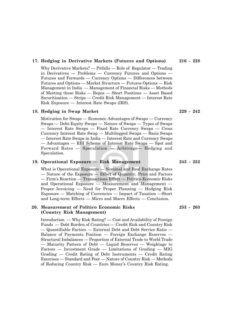#### **17. Hedging in Derivative Markets (Futures and Options) 216 - 228**

Why Derivative Markets? — Pitfalls — Role of Regulator — Trading in Derivatives — Problems — Currency Futures and Options — Futures and Forwards — Currency Options — Differences between Futures and Options — Market Structure — Futures Options — Risk Management in India — Management of Financial Risks — Methods of Meeting these Risks — Repos — Short Positions — Asset Based Securitisation — Strips — Credit Risk Management — Interest Rate Risk Exposure — Interest Rate Swaps (IRS).

#### **18. Hedging in Swap Market 229 - 242**

Motivation for Swaps — Economic Advantages of Swaps — Currency Swaps — Debt-Equity Swaps — Nature of Swaps — Types of Swaps — Interest Rate Swaps — Fixed Rate Currency Swaps — Cross Currency Interest Rate Swap — Multilegged Swaps — Basis Swaps — Interest Rate Swaps in India — Interest Rate and Currency Swaps — Advantages — RBI Scheme of Interest Rate Swaps — Spot and Forward Rates — Speculation — Arbitrage— Hedging and Speculation.

#### **19. Operational Exposure — Risk Management 243 - 252**

What is Operational Exposure — Nominal and Real Exchange Rates — Nature of the Exposure — Effect of Quantity, Price and Factors — Firm's Reaction — Transactions Effect — Politico-Economic Risks and Operational Exposure — Measurement and Management — Proper Invoicing — Need for Proper Planning — Hedging Risk Exposure — Matching of Currencies — Impact of Taxation —Short and Long-term Effects — Micro and Macro Effects — Conclusion.

#### **20. Measurement of Politico Economic Risks 253 - 263 (Country Risk Management)**

Introduction — Why Risk Rating? — Cost and Availability of Foreign Funds — Debt Burden of Countries — Credit Risk and Country Risk — Quantifiable Factors — External Debt and Debt Service Ratio — Balance of Payments Position — Foreign Exchange Reserves — Structural Imbalances — Proportion of External Trade to World Trade — Maturity Pattern of Debt — Liquid Reserves — Weightage to Factors — Investment Grade — Limitations of Grading — MIG Grading — Credit Rating of Debt Instruments — Credit Rating Exercises — Standard and Poor — Nature of Country Risk — Methods of Reducing Country Risk — Euro Money's Country Risk Rating.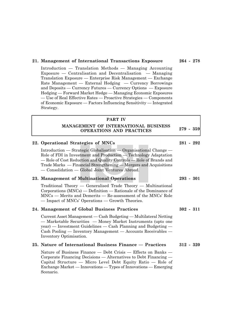#### **21. Management of International Transactions Exposure 264 - 278**

Introduction — Translation Methods — Managing Accounting Exposure — Centralisation and Decentralisation — Managing Translation Exposure — Enterprise Risk Management — Exchange Rate Management — External Hedging — Currency Borrowings and Deposits — Currency Futures — Currency Options — Exposure Hedging — Forward Market Hedge — Managing Economic Exposures — Use of Real Effective Rates — Proactive Strategies — Components of Economic Exposure — Factors Influencing Sensitivity — Integrated Strategy.

#### **PART IV**

#### **MANAGEMENT OF INTERNATIONAL BUSINESS OPERATIONS AND PRACTICES**

#### **22. Operational Strategies of MNCs 281 - 292**

Introduction — Strategic Globalisation — Organisational Change — Role of FDI in Investment and Production — Technology Adaptation — Role of Cost Reduction and Quality Controls — Role of Brands and Trade Marks — Financial Strengthening — Mergers and Acquisitions — Consolidation — Global Joint Ventures Abroad.

#### **23. Management of Multinational Operations 293 - 301**

Traditional Theory — Generalised Trade Theory — Multinational Corporations (MNCs) — Definition — Rationale of the Dominance of MNCs — Merits and Demerits — Re-assessment of the MNCs' Role — Impact of MNCs' Operations — Growth Theories.

#### **24. Management of Global Business Practices 302 - 311**

Current Asset Management — Cash Budgeting — Multilateral Netting — Marketable Securities — Money Market Instruments (upto one year) — Investment Guidelines — Cash Planning and Budgeting — Cash Pooling — Inventory Management — Accounts Receivables — Inventory Optimisation.

#### **25. Nature of International Business Finance — Practices 312 - 320**

Nature of Business Finance — Debt Crisis — Effects on Banks — Corporate Financing Decisions — Alternatives to Debt Financing — Capital Structure — Micro Level Debt Equity Ratio — Role of Exchange Market — Innovations — Types of Innovations — Emerging Scenario.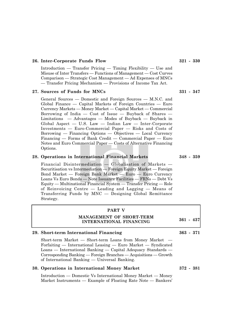#### **26. Inter-Corporate Funds Flow 321 - 330**

Introduction — Transfer Pricing — Timing Flexibility — Use and Misuse of Inter Transfers — Functions of Management — Cost Curves Comparison — Strategic Cost Management — Ad Expenses of MNCs — Transfer Pricing Mechanism — Provisions of Income Tax Act.

#### **27. Sources of Funds for MNCs 331 - 347**

General Sources — Domestic and Foreign Sources — M.N.C. and Global Finance — Capital Markets of Foreign Countries — Euro Currency Markets — Money Market — Capital Market — Commercial Borrowing of India  $-$  Cost of Issue  $-$  Buyback of Shares  $-$ Limitations — Advantages — Modes of Buyback — Buyback in Global Aspect — U.S. Law — Indian Law — Inter-Corporate Investments — Euro-Commercial Paper — Risks and Costs of Borrowing — Financing Options — Objectives — Local Currency Financing — Forms of Bank Credit — Commercial Paper — Euro Notes and Euro Commercial Paper — Costs of Alternative Financing Options.

#### **28. Operations in International Financial Markets 348 - 359**

Financial Disintermediation — Globalisation of Markets — Securitisation vs Intermediation — Foreign Equity Market — Foreign Bond Market — Foreign Bank Market — Euro — Euro Currency Loans Vs Euro Bonds — Note Issuance Facilities — FRNs — Debt Vs Equity — Multinational Financial System — Transfer Pricing — Role of Reinvoicing Centre — Leading and Lagging — Means of Transferring Funds by MNC — Designing Global Remittance Strategy.

#### **PART V**

#### **MANAGEMENT OF SHORT-TERM INTERNATIONAL FINANCING**

#### **29. Short-term International Financing 363 - 371**

Short-term Market — Short-term Loans from Money Market — Forfaiting — International Leasing — Euro Market — Syndicated Loans — International Banking — Capital Adequacy Standards — Corresponding Banking — Foreign Branches — Acquisitions — Growth of International Banking — Universal Banking.

#### **30. Operations in International Money Market 372 - 381**

Introduction — Domestic Vs International Money Market — Money Market Instruments — Example of Floating Rate Note — Bankers'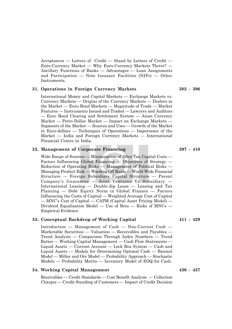Acceptances — Letters of Credit — Stand by Letters of Credit — Euro-Currency Market — Why Euro-Currency Markets Thrive? — Ancillary Functions of Banks — Advantages — Loan Assignments and Participation — Note Issuance Facilities (NIFs) — Other Instruments.

#### **31. Operations in Foreign Currency Markets 382 - 396**

International Money and Capital Markets — Exchange Markets vs. Currency Markets — Origins of the Currency Markets — Dealers in the Market — Euro-Bond Markets — Magnitude of Trade — Market Features — Instruments Issued and Traded — Lawyers and Auditors — Euro Bond Clearing and Settlement System — Asian Currency Market — Petro-Dollar Market — Impact on Exchange Markets — Segments of the Market — Sources and Uses — Growth of the Market in Euro-dollars — Techniques of Operations — Importance of the Market — India and Foreign Currency Markets — International Financial Centre in India.

#### **32. Management of Corporate Financing 397 - 410**

Wide Range of Sources — Minimisation of After Tax Capital Costs — Factors Influencing Global Financing  $-$  Objectives of Strategy  $-$ Reduction of Operating Risks — Management of Political Risks — Managing Product Risk — Warding Off Raids — World Wide Financial Structure — Foreign Subsidiary Capital Structure — Parent Company's Guarantee — Joint Ventures Vs Subsidiary — International Leasing — Double-dip Lease — Leasing and Tax Planning — Debt Equity Norm in Global Finance — Factors Influencing the Costs of Capital — Weighted Average Cost of Capital — MNC's Cost of Capital — CAPM (Capital Asset Pricing Model) — Dividend Equalisation Model — Use of Beta — Risks of MNCs — Empirical Evidence.

#### **33. Conceptual Backdrop of Working Capital 411 - 429**

Introduction — Management of Cash — Non-Current Cash — Marketable Securities — Valuation — Receivables and Payables — Trend Analysis — Comparison Through Index Numbers — Trend Ratios — Working Capital Management — Cash Flow Statements — Liquid Assets — Current Account — Lock Box System — Cash and Liquid Assets — Models for Determining Optimal Cash — Baumol Model — Miller and Orr Model — Probability Approach — Stochastic Models — Probability Merits — Inventory Model of EOQ for Cash.

#### **34. Working Capital Management 430 - 437**

Receivables — Credit Standards — Cost Benefit Analysis — Collection Charges — Credit Standing of Customers — Impact of Credit Decision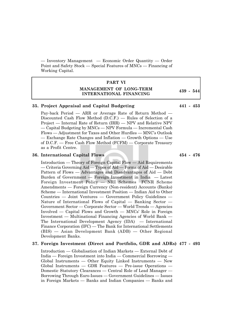— Inventory Management — Economic Order Quantity — Order Point and Safety Stock — Special Features of MNCs — Financing of Working Capital.

#### **PART VI**

#### **MANAGEMENT OF LONG-TERM INTERNATIONAL FINANCING**

#### **35. Project Appraisal and Capital Budgeting 441 - 453**

Pay-back Period — ARR or Average Rate of Return Method — Discounted Cash Flow Method (D.C.F.) — Rules of Selection of a Project — Internal Rate of Return (IRR) — NPV and Relative NPV — Capital Budgeting by MNCs — NPV Formula — Incremental Cash Flows — Adjustment for Taxes and Other Hurdles — MNC's Outlook — Exchange Rate Changes and Inflation — Growth Options — Use of D.C.F. — Free Cash Flow Method (FCFM) — Corporate Treasury as a Profit Centre.

#### **36. International Capital Flows 454 - 476**

Introduction — Theory of Foreign Capital Flow — Aid Requirements — Criteria Governing Aid — Types of Aid — Forms of Aid — Desirable Pattern of Flows — Advantages and Disadvantages of Aid — Debt Burden of Government — Foreign Investment in India — Latest Foreign Investment Policy — NRI Schemes FCNR Scheme Amendments — Foreign Currency (Non-resident) Accounts (Banks) Scheme — International Investment Position — Indian Aid to Other Countries — Joint Ventures — Government Policy Guidelines — Nature of International Flows of Capital — Banking Sector — Government Sector — Corporate Sector — World Trends — Agencies Involved — Capital Flows and Growth — MNCs' Role in Foreign Investment — Multinational Financing Agencies of World Bank — The International Development Agency (IDA) — International Finance Corporation (IFC) — The Bank for International Settlements (BIS) — Asian Development Bank (ADB) — Other Regional Development Banks.

#### **37. Foreign Investment (Direct and Portfolio, GDR and ADRs) 477 - 493**

Introduction — Globalisation of Indian Markets — External Debt of India — Foreign Investment into India — Commercial Borrowing — Global Instruments — Other Equity Linked Instruments — New Global Instruments — GDR Features — Pre-issue Operations — Domestic Statutory Clearances — Central Role of Lead Manager — Borrowing Through Euro-Issues — Government Guidelines — Issues in Foreign Markets — Banks and Indian Companies — Banks and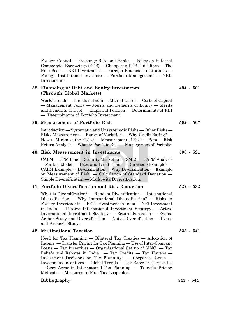Foreign Capital — Exchange Rate and Banks — Policy on External Commercial Borrowings (ECB) — Changes in ECB Guidelines — The Rule Book — NRI Investments — Foreign Financial Institutions — Foreign Institutional Investors — Portfolio Management — NRIs Investments.

#### **38. Financing of Debt and Equity Investments 494 - 501 (Through Global Markets)**

World Trends — Trends in India — Micro Picture — Costs of Capital — Management Policy — Merits and Demerits of Equity — Merits and Demerits of Debt — Empirical Position — Determinants of FDI — Determinants of Portfolio Investment.

#### **39. Measurement of Portfolio Risk 502 - 507**

Introduction — Systematic and Unsystematic Risks — Other Risks — Risks Measurement — Range of Variation — Why Credit Rating? — How to Minimise the Risks? — Measurement of Risk — Beta — Risk Return Analysis — What is Portfolio Risk — Management of Portfolio.

#### **40. Risk Measurement in Investments 508 - 521**

CAPM — CPM Line — Security Market Line (SML) — CAPM Analysis —Market Model — Uses and Limitations — Duration (Example) — CAPM Example — Diversification — Why Diversification — Example on Measurement of Risk — Calculation of Standard Deviation — Simple Diversification — Markowitz Diversification.

#### **41. Portfolio Diversification and Risk Reduction 522 - 532**

What is Diversification? — Random Diversification — International Diversification — Why International Diversification? — Risks in Foreign Investments — FFI's Investment in India — NRI Investment in India — Passive International Investment Strategy — Active International Investment Strategy — Return Forecasts — Evans-Archer Study and Diversification — Naive Diversification — Evans and Archer's Study.

#### **42. Multinational Taxation 533 - 541**

Need for Tax Planning — Bilateral Tax Treaties — Allocation of Income — Transfer Pricing for Tax Planning — Use of Inter-Company  $\text{Loans} - \text{Tax Incentives} - \text{Organisational Set up of MNC} - \text{Tax}$ Reliefs and Rebates in India — Tax Credits — Tax Havens — Investment Decisions on Tax Planning — Corporate Goals — Investment Incentives — Global Trends — Tax Rates on Corporates — Grey Areas in International Tax Planning — Transfer Pricing Methods — Measures to Plug Tax Loopholes.

#### **Bibliography 543 - 544**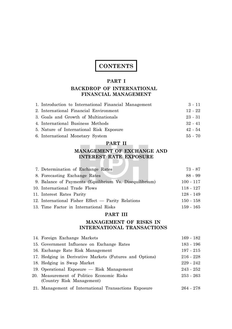# **CONTENTS**

#### **PART I**

# **BACKDROP OF INTERNATIONAL FINANCIAL MANAGEMENT**

| 1. Introduction to International Financial Management | $3 - 11$  |
|-------------------------------------------------------|-----------|
| 2. International Financial Environment                | $12 - 22$ |
| 3. Goals and Growth of Multinationals                 | $23 - 31$ |
| 4. International Business Methods                     | $32 - 41$ |
| 5. Nature of International Risk Exposure              | $42 - 54$ |
| 6. International Monetary System                      | $55 - 70$ |

# **PART II**

**TEXT** 

# **MANAGEMENT OF EXCHANGE AND INTEREST RATE EXPOSURE**

| 7. Determination of Exchange Rates                      | 73 - 87     |
|---------------------------------------------------------|-------------|
| 8. Forecasting Exchange Rates                           | $88 - 99$   |
| 9. Balance of Payments (Equilibrium Vs. Disequilibrium) | $100 - 117$ |
| 10. International Trade Flows                           | $118 - 127$ |
| 11. Interest Rates Parity                               | $128 - 149$ |
| 12. International Fisher Effect — Parity Relations      | $150 - 158$ |
| 13. Time Factor in International Risks                  | 159 - 165   |

# **PART III**

## **MANAGEMENT OF RISKS IN INTERNATIONAL TRANSACTIONS**

| 14. Foreign Exchange Markets                            | $169 - 182$ |
|---------------------------------------------------------|-------------|
| 15. Government Influence on Exchange Rates              | $183 - 196$ |
| 16. Exchange Rate Risk Management                       | $197 - 215$ |
| 17. Hedging in Derivative Markets (Futures and Options) | $216 - 228$ |
| 18. Hedging in Swap Market                              | $229 - 242$ |
| 19. Operational Exposure $-$ Risk Management            | $243 - 252$ |
| 20. Measurement of Politico Economic Risks              | $253 - 263$ |
| (Country Risk Management)                               |             |
| 21. Management of International Transactions Exposure   | 264 - 278   |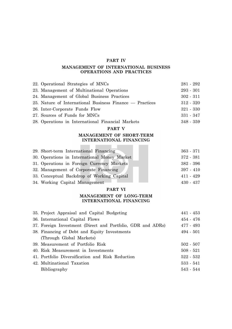#### **PART IV**

#### **MANAGEMENT OF INTERNATIONAL BUSINESS OPERATIONS AND PRACTICES**

| 22. Operational Strategies of MNCs                       | $281 - 292$ |
|----------------------------------------------------------|-------------|
| 23. Management of Multinational Operations               | $293 - 301$ |
| 24. Management of Global Business Practices              | $302 - 311$ |
| 25. Nature of International Business Finance — Practices | $312 - 320$ |
| 26. Inter-Corporate Funds Flow                           | $321 - 330$ |
| 27. Sources of Funds for MNCs                            | $331 - 347$ |
| 28. Operations in International Financial Markets        | $348 - 359$ |

#### **PART V**

#### **MANAGEMENT OF SHORT-TERM INTERNATIONAL FINANCING**

\_\_\_\_

| 29. Short-term International Financing       | $363 - 371$ |
|----------------------------------------------|-------------|
| 30. Operations in International Money Market | $372 - 381$ |
| 31. Operations in Foreign Currency Markets   | $382 - 396$ |
| 32. Management of Corporate Financing        | $397 - 410$ |
| 33. Conceptual Backdrop of Working Capital   | $411 - 429$ |
| 34. Working Capital Management               | $430 - 437$ |

#### **PART VI**

#### **MANAGEMENT OF LONG-TERM INTERNATIONAL FINANCING**

| 35. Project Appraisal and Capital Budgeting                 | $441 - 453$ |
|-------------------------------------------------------------|-------------|
| 36. International Capital Flows                             | $454 - 476$ |
| 37. Foreign Investment (Direct and Portfolio, GDR and ADRs) | $477 - 493$ |
| 38. Financing of Debt and Equity Investments                | $494 - 501$ |
| (Through Global Markets)                                    |             |
| 39. Measurement of Portfolio Risk                           | $502 - 507$ |
| 40. Risk Measurement in Investments                         | $508 - 521$ |
| 41. Portfolio Diversification and Risk Reduction            | $522 - 532$ |
| 42. Multinational Taxation                                  | $533 - 541$ |
| Bibliography                                                | $543 - 544$ |
|                                                             |             |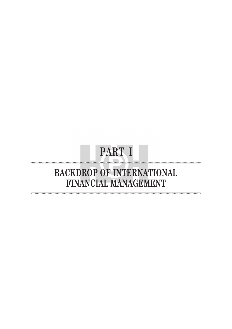# **PART I**

12345678901234567890123456789012123456789012345678901234567890121234567890123456789012345678901212345678901234567890123456789012123456789012345678 12345678901234567890123456789012123456789012345678901234567890121234567890123456789012345678901212345678901234567890123456789012123456789012345678

# **BACKDROP OF INTERNATIONAL FINANCIAL MANAGEMENT**

12345678901234567890123456789012123456789012345678901234567890121234567890123456789012345678901212345678901234567890123456789012123456789012345678 12345678901234567890123456789012123456789012345678901234567890121234567890123456789012345678901212345678901234567890123456789012123456789012345678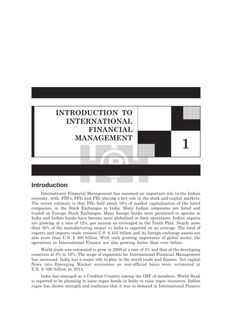

# **Introduction**

International Financial Management has assumed an important role in the Indian economy, with FDIís, FFIs and FIIs playing a key role in the stock and capital markets. The recent estimate is that FIIs hold about 18% of market capitalisation of the listed companies, in the Stock Exchanges in India. Many Indian corporates are listed and traded on Foreign Stock Exchanges. Many foreign banks were permitted to operate in India and Indian banks have become more globalised in their operations. Indian exports are growing at a rate of 12%, per annum as envisaged in the Tenth Plan. Nearly more than 50% of the manufacturing output in India is exported on an average. The total of exports and imports trade crossed U.S. \$ 455 billion and its foreign exchange assets are also more than U.S. \$ 300 billion. With such growing importance of global sector, the operations in International Finance are also growing faster than ever before.

World trade was estimated to grow in 2008 at a rate of 4% and that of the developing countries at 8% to 10%. The scope of expansion for International Financial Management has increased. India has a major role to play in the world trade and finance. Net capital flows into Emerging Market economies on non-official basis were estimated at U.S. \$ 320 billion in 2014.

India has emerged as a Creditor Country among the IMF of members. World Bank is reported to be planning to issue rupee bonds in India to raise rupee resources. Indian rupee has shown strength and resilience that it was in demand in International Finance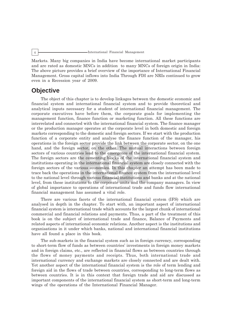#### 4 International Financial Management

Markets. Many big companies in India have become international market participants and are rated as domestic MNCs in addition to many MNCs of foreign origin in India: The above picture provides a brief overview of the importance of International Financial Management. Gross capital inflows into India Through FDI are NRIs continued to grow even in a Recession year of 2009.

# **Objective**

The object of this chapter is to develop linkages between the domestic economic and financial system and international financial system and to provide theoretical and analytical inputs necessary for a student of international financial management. The corporate executives have before them, the corporate goals for implementing the management function, finance function or marketing function. All these functions are interrelated and connected with the international financial system. The finance manager or the production manager operates at the corporate level in both domestic and foreign markets corresponding to the domestic and foreign sectors. If we start with the production function of a corporate entity and analyse the finance function of the manager, his operations in the foreign sector provide the link between the corporate sector, on the one hand, and the foreign sector, on the other. The mutual interactions between foreign sectors of various countries lead to the emergence of the international financial system. The foreign sectors are the cementing blocks of the international financial system and institutions operating in the international financial system are closely connected with the foreign sectors of the various economies. In this chapter an attempt has been made to trace back the operations in the international finance system from the international level to the national level through various financial institutions and banks and at the national level, from these institutions to the corporate units and the company managers. In view of global importance to operations of international trade and funds flow international financial management has assumed a vital role.

There are various facets of the international financial system (IFS) which are analysed in depth in the chapter. To start with, an important aspect of international financial system is international trade which accounts for the largest chunk of international commercial and financial relations and payments. Thus, a part of the treatment of this book is on the subject of international trade and finance, Balance of Payments and related aspects of international economic relations. Another aspect is the institutions and organisations in it under which banks, national and international financial institutions have all found a place in this book.

The sub-markets in the financial system such as in foreign currency, corresponding to short-term flow of funds as between countries' investments in foreign money markets and in foreign claims, etc., are reflected in financial flows as between countries through the flows of money payments and receipts. Thus, both international trade and international currency and exchange markets are closely connected and are dealt with. Yet another aspect of the international financial system is the role of term lending and foreign aid in the flows of trade between countries, corresponding to long-term flows as between countries. It is in this context that foreign trade and aid are discussed as important components of the international financial system as short-term and long-term wings of the operations of the International Financial Manager.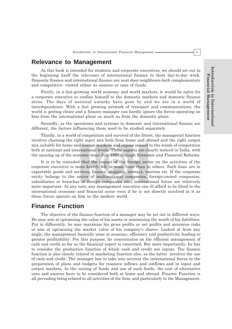# **Relevance to Management**

As this book is intended for students and corporate executives, we should set out in the beginning itself the relevance of international finance to their day-to-day work. Domestic finance and international finance are next-door neighbours-both complementary and competitive- viewed either as sources or uses of funds.

Firstly, in a fast-growing world economy and world markets, it would be naïve for a corporate executive to confine himself to the domestic markets and domestic finance alone. The days of national autarky have gone by and we are in a world of interdependence. With a fast growing network of transport and communications, the world is getting closer and a finance manager can hardly ignore the forces operating on him from the international plane as much as from the domestic plane.

Secondly, as the operations and systems in domestic and international finance are different, the factors influencing them need to be studied separately.

Thirdly, in a world of competition and survival of the fittest, the managerial function involves choosing the right input mix both from home and abroad and the right output mix suitable for home and foreign markets and expose oneself to the winds of competition both at national and international levels. These aspects are clearly noticed in India, with the opening up of the economy since July 1991 through Economic and Financial Reforms.

It is to be conceded that the impact of the foreign sector on the activities of the corporate executive is more keenly felt in some lines than in others. Such lines are in exportable goods and services, finance, shipping, airways, tourism etc. If the corporate entity belongs to the sector of multinational companies, foreign-owned companies, subsidiaries or branches of foreign companies etc., international forces are relatively more important. At any rate, any management executive can ill-afford to be blind to the international economic and financial scene even if he is not directly involved in it as these forces operate on him in the modern world.

# **Finance Function**

The objective of the finance function of a manager may be set out in different ways. He may aim at optimising the value of his assets or minimising the worth of his liabilities. Put in differently, he may maximise his gross profits or net profits and minimise risks or aim at optimising the market value of his companyís shares. Looked at from any angle, the management basically aims at economy, efficiency and productivity leading to greater profitability. For this purpose, he concentrates on the efficient management of cash and credit so far as the financial aspect is concerned. But more importantly, he has to consider the production function of which cash and credit are inputs. The finance function is also closely related to marketing function also, as the latter involves the use of cash and credit. The manager has to take into account the international forces in the preparation of plans and budgets for resource inflows and outflows and in input and output markets. In the raising of funds and use of such funds, the cost of alternative uses and sources have to be considered both at home and abroad. Finance Function is all pervading being related to all activities of the firm, and particularly to the Management.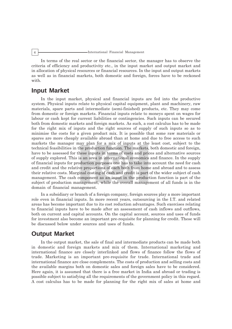#### 6 **International Financial Management**

In terms of the real sector or the financial sector, the manager has to observe the criteria of efficiency and productivity etc., in the input market and output market and in allocation of physical resources or financial resources. In the input and output markets as well as in financial markets, both domestic and foreign, forces have to be reckoned with.

# **Input Market**

In the input market, physical and financial inputs are fed into the productive system. Physical inputs relate to physical capital equipment, plant and machinery, raw materials, spare parts and intermediate (semi-finished) products, etc. They may come from domestic or foreign markets. Financial inputs relate to moneys spent on wages for labour or cash kept for current liabilities or contingencies. Such inputs can be secured both from domestic markets and foreign markets. As such, a cost calculus has to be made for the right mix of inputs and the right sources of supply of such inputs so as to minimise the costs for a given product mix. It is possible that some raw materials or spares are more cheaply available abroad than at home and due to free access to such markets the manager may plan for a mix of inputs at the least cost, subject to the technical feasibilities in the production function. The markets, both domestic and foreign, have to be assessed for these inputs in terms of costs and prices and alternative sources of supply explored. This is an area in international economics and finance. In the supply of financial inputs for production purposes one has to take into account the need for cash and credit and the relative proportions of each both from home and abroad and to assess their relative costs. Marginal costing of cash and credit is part of the wider subject of cash management. The cash component as an input in the production function is part of the subject of production management, while the overall management of all funds is in the domain of financial management.

In a subsidiary or branch of a foreign company, foreign sources play a more important role even in financial inputs. In more recent years, outsourcing in the I.T. and related areas has become important due to its cost reduction advantages. Such exercises relating to financial inputs have to be made after an assessment of cash inflows and outflows, both on current and capital accounts. On the capital account, sources and uses of funds for investment also become an important pre-requisite for planning for credit. These will be discussed below under sources and uses of funds.

# **Output Market**

In the output market, the sale of final and intermediate products can be made both in domestic and foreign markets and mix of them. International marketing and international finance are closely interlinked and flows of finance follow the flows of trade. Marketing is an important pre-requisite for trade. International trade and international finance are close complements. The costs of production and selling costs and the available margins both on domestic sales and foreign sales have to be considered. Here again, it is assumed that there is a free market in India and abroad or trading is possible subject to satisfying all the requirements of the government policy in this regard. A cost calculus has to be made for planning for the right mix of sales at home and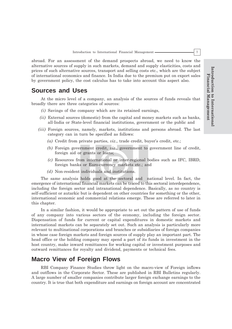abroad. For an assessment of the demand prospects abroad, we need to know the alternative sources of supply in such markets, demand and supply elasticities, costs and prices of such alternative sources, transport and selling costs etc., which are the subject of international economics and finance. In India due to the premium put on export sales by government policy, the cost calculus has to take into account this aspect also.

# **Sources and Uses**

At the micro level of a company, an analysis of the sources of funds reveals that broadly there are three categories of sources:

- *(i)* Savings of the company which are its retained earnings,
- *(ii)* External sources (domestic) from the capital and money markets such as banks, all-India or State-level financial institutions, government or the public and
- *(iii)* Foreign sources, namely, markets, institutions and persons abroad. The last category can in turn be specified as follows:
	- *(a)* Credit from private parties, *viz.*, trade credit, buyer's credit, etc.;
	- *(b)* Foreign government credit, *viz*., government to government line of credit, foreign aid or grants or loans;
	- *(c)* Resources from international or inter-regional bodies such as IFC, IBRD, foreign banks or Euro-currency markets etc.; and
	- *(d)* Non-resident individuals and institutions.

The same analysis holds good at the sectoral and national level. In fact, the emergence of international financial markets can be traced to this sectoral interdependence, including the foreign sector and intranational dependence. Basically, as no country is self-sufficient or autarkic but is dependent on other countries for something or the other, international economic and commercial relations emerge. These are referred to later in this chapter.

In a similar fashion, it would be appropriate to set out the pattern of use of funds of any company into various sectors of the economy, including the foreign sector. Dispensation of funds for current or capital expenditures in domestic markets and international markets can be separately set out. Such an analysis is particularly more relevant to multinational corporations and branches or subsidiaries of foreign companies in whose case foreign markets and foreign sources of supply play an important part. The head office or the holding company may spend a part of its funds in investment in the host country, make inward remittances for working capital or investment purposes and outward remittances for royalty and dividend, payments or technical fees.

# **Macro View of Foreign Flows**

RBI Company Finance Studies throw light on the macro-view of Foreign inflows and outflows in the Corporate Sector. These are published in RBI Bulletins regularly. A large number of smaller companies contribute larger foreign exchange earnings to the country. It is true that both expenditure and earnings on foreign account are concentrated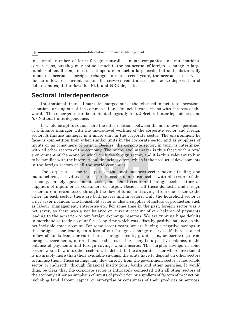#### 8 International Financial Management

in a small number of large foreign controlled Indian companies and multinational corporations, but they may not add much to the not accrual of foreign exchange. A large number of small companies do not operate on such a large scale, but add substantially to our net accrual of foreign exchange. In more recent years, the accrual of reserve is due to inflows on current account for services remittances and due to depreciation of dollar, and capital inflows for FDI, and NRE deposits.

# **Sectoral Interdependence**

International financial markets emerged out of the felt need to facilitate operations of nations arising out of the commercial and financial transactions with the rest of the world. This emergence can be attributed logically to: *(a)* Sectoral interdependence, and *(b)* National interdependence.

It would be apt to set out here the inter-relations between the micro-level operations of a finance manager with the macro-level working of the corporate sector and foreign sector. A finance manager is a micro unit in the corporate sector. The environment he faces is competition from other similar units in the corporate sector and as suppliers of inputs or as consumers of output. Besides, the corporate sector, in turn, is interlinked with all other sectors of the economy. The micro-level manager is thus faced with a total environment of the economy which includes foreign sector, and it is thus relevant to him to be familiar with the international financial system, which is the product of developments in the foreign sectors of all the world economies.

The corporate sector is a part of the total business sector having trading and manufacturing activities. The corporate sector is also connected with all sectors of the economy, namely, government sector, household sector and foreign sector either as suppliers of inputs or as consumers of output. Besides, all these domestic and foreign sectors are interconnected through the flow of funds and savings from one sector to the other. In each sector, there are both savers and investors. Only the household sector is a net saver in India. The household sector is also a supplier of factors of production such as labour, management, enterprise etc. For some time in the past, foreign sector was a net saver, as there was a net balance on current account of our balance of payments leading to the accretion to our foreign exchange reserves. We are running huge deficits in merchandise trade account for a long time which was offset by positive balance on the net invisible trade account. For some recent years, we are having a negative savings in the foreign sector leading to a loss of our foreign exchange reserves. If there is a net inflow of funds from abroad either as foreign credits, grants, etc., or borrowings from foreign governments, international bodies etc., there may be a positive balance, in the balance of payments and foreign savings would accrue. The surplus savings in some sectors would flow into other sectors with deficit. In the corporate sector where investment is invariably more than their available savings, the units have to depend on other sectors to finance them. These savings may flow directly from the government sector or household sector or indirectly through financial institutions, banks and other agencies. It would thus, be clear that the corporate sector is intricately connected with all other sectors of the economy either as suppliers of inputs of production or suppliers of factors of production, including land, labour, capital or enterprise or consumers of their products or services.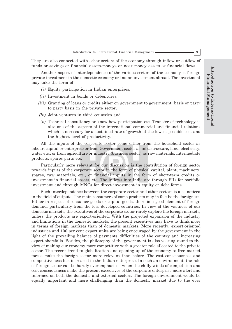They are also connected with other sectors of the economy through inflow or outflow of funds or savings or financial assets-moneys or near money assets or financial flows.

Another aspect of interdependence of the various sectors of the economy is foreign private investment in the domestic economy or Indian investment abroad. The investment may take the form of

- *(i)* Equity participation in Indian enterprises,
- *(ii)* Investment in bonds or debentures,
- *(iii)* Granting of loans or credits either on government to government basis or party to party basis in the private sector,
- *(iv)* Joint ventures in third countries and
- *(v)* Technical consultancy or know-how participation etc. Transfer of technology is also one of the aspects of the international commercial and financial relations which is necessary for a sustained rate of growth at the lowest possible cost and the highest level of productivity.

All the inputs of the corporate sector come either from the household sector as labour, capital or enterprise or from Government sector as infrastructure, land, electricity, water etc., or from agriculture or industry (business sector) as raw materials, intermediate products, spares parts etc.

Particularly more relevant for our discussion is the contribution of foreign sector towards inputs of the corporate sector in the form of physical capital, plant, machinery, spares, raw materials, etc., or financial inputs in the form of short-term credits or investment in financial assets, etc. The inflows into India are through FIIs for portfolio investment and through MNCs for direct investment in equity or debt forms.

Such interdependence between the corporate sector and other sectors is also noticed in the field of outputs. The main consumers of some products may in fact be the foreigners. Either in respect of consumer goods or capital goods, there is a good element of foreign demand, particularly from the less developed countries. In view of the vastness of our domestic markets, the executives of the corporate sector rarely explore the foreign markets, unless the products are export-oriented. With the projected expansion of the industry and limitations in the domestic markets, the present executives may have to think more in terms of foreign markets than of domestic markets. More recently, export-oriented industries and 100 per cent export units are being encouraged by the government in the light of the prevailing balance of payments difficulties of the country and increasing export shortfalls. Besides, the philosophy of the government is also veering round to the view of making our economy more competitive with a greater role allocated to the private sector. The recent trend to globalisation and opening up of the economy to free market forces make the foreign sector more relevant than before. The cost consciousness and competitiveness has increased in the Indian enterprise. In such an environment, the role of foreign sector can be hardly overemphasised when the chilly winds of competition and cost consciousness make the present executives of the corporate enterprise more alert and informed on both the domestic and external sectors. The foreign environment would be equally important and more challenging than the domestic market due to the ever

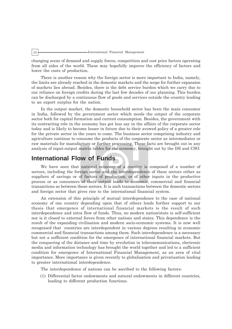#### 10 International Financial Management

changing scene of demand and supply forces, competition and cost price factors operating from all sides of the world. These may hopefully improve the efficiency of factors and lower the costs of production.

There is another reason why the foreign sector is more important to India, namely, the limits are already reached in the domestic markets and the scope for further expansion of markets lies abroad. Besides, there is the debt service burden which we carry due to our reliance on foreign credits during the last few decades of our planning. This burden can be discharged by a continuous flow of goods and services outside the country leading to an export surplus for the nation.

In the output market, the domestic household sector has been the main consumer in India, followed by the government sector which needs the output of the corporate sector both for capital formation and current consumption. Besides, the government with its contracting role in the economy has got less say in the affairs of the corporate sector today and is likely to become lesser in future due to their avowed policy of a greater role for the private sector in the years to come. The business sector comprising industry and agriculture continue to consume the products of the corporate sector as intermediates or raw materials for manufacture or further processing. These facts are brought out in any analysis of input-output matrix tables for the economy, brought out by the ISI and CSO.

# **International Flow of Funds**

We have seen that national economy of a country is composed of a number of sectors, including the foreign sector and the interdependence of these sectors either as suppliers of savings or of factors of production, or of other inputs in the productive process or as consumers of their output leads to economic, commercial and financial transactions as between these sectors. It is such transactions between the domestic sectors and foreign sector that gives rise to the international financial system.

An extension of this principle of mutual interdependence to the case of national economy of one country depending upon that of others lends further support to our thesis that emergence of international financial markets is the result of such interdependence and intra flow of funds. Thus, no modern nation/state is self-sufficient nor is it closed to external forces from other nations and states. This dependence is the result of the expanding civilisation and modern socio-economic systems. It is now well recognised that countries are interdependent in various degrees resulting in economic commercial and financial transactions among them. Such interdependence is a necessary but not a sufficient condition for the emergence of international financial markets. But the conquering of the distance and time by revolution in telecommunications, electronic media and information technology has brought the world together and led to a sufficient condition for emergence of International Financial Management, as an area of vital importance. More importance is given recently to globalisation and privatisation leading to greater international interdependence.

The interdependence of nations can be ascribed to the following factors:

(1) Differential factor endowments and natural endowments in different countries, leading to different production functions.